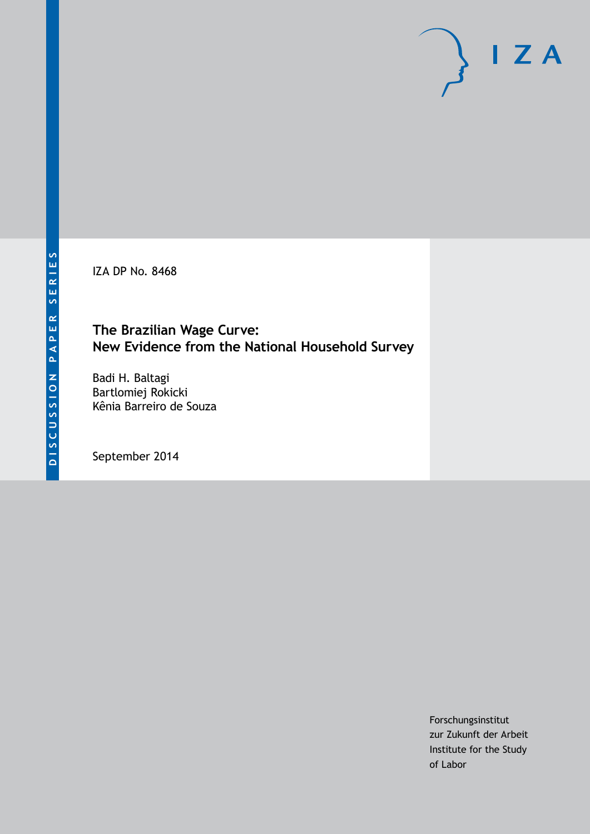IZA DP No. 8468

# **The Brazilian Wage Curve: New Evidence from the National Household Survey**

Badi H. Baltagi Bartlomiej Rokicki Kênia Barreiro de Souza

September 2014

Forschungsinstitut zur Zukunft der Arbeit Institute for the Study of Labor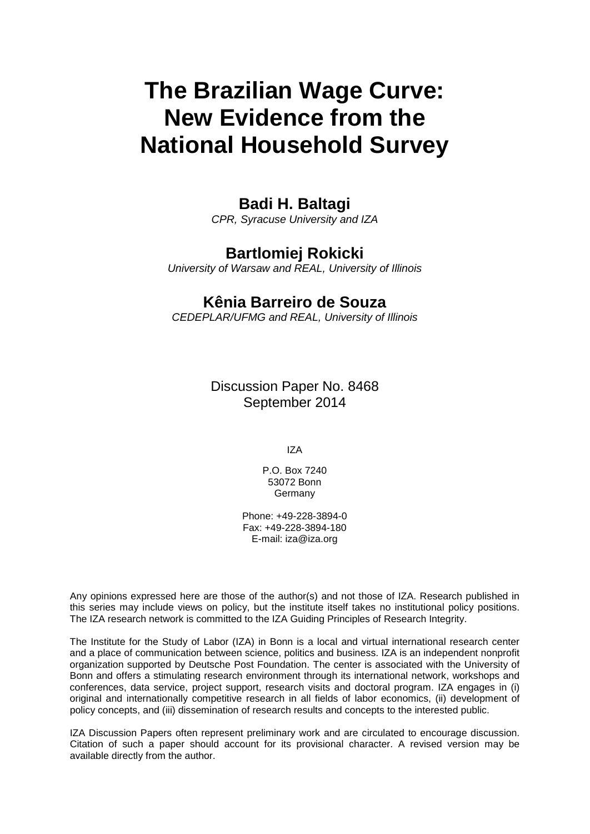# **The Brazilian Wage Curve: New Evidence from the National Household Survey**

# **Badi H. Baltagi**

*CPR, Syracuse University and IZA*

# **Bartlomiej Rokicki**

*University of Warsaw and REAL, University of Illinois*

# **Kênia Barreiro de Souza**

*CEDEPLAR/UFMG and REAL, University of Illinois*

Discussion Paper No. 8468 September 2014

IZA

P.O. Box 7240 53072 Bonn **Germany** 

Phone: +49-228-3894-0 Fax: +49-228-3894-180 E-mail: [iza@iza.org](mailto:iza@iza.org)

Any opinions expressed here are those of the author(s) and not those of IZA. Research published in this series may include views on policy, but the institute itself takes no institutional policy positions. The IZA research network is committed to the IZA Guiding Principles of Research Integrity.

The Institute for the Study of Labor (IZA) in Bonn is a local and virtual international research center and a place of communication between science, politics and business. IZA is an independent nonprofit organization supported by Deutsche Post Foundation. The center is associated with the University of Bonn and offers a stimulating research environment through its international network, workshops and conferences, data service, project support, research visits and doctoral program. IZA engages in (i) original and internationally competitive research in all fields of labor economics, (ii) development of policy concepts, and (iii) dissemination of research results and concepts to the interested public.

IZA Discussion Papers often represent preliminary work and are circulated to encourage discussion. Citation of such a paper should account for its provisional character. A revised version may be available directly from the author.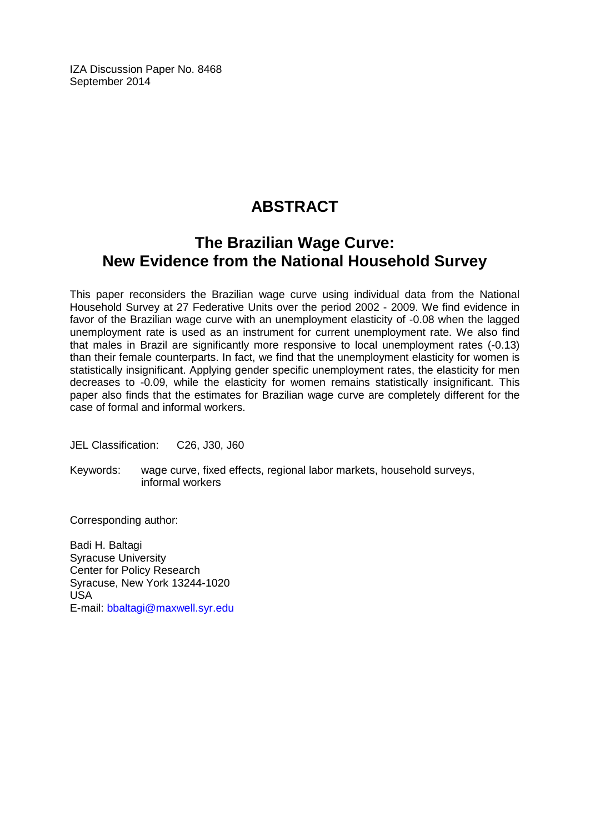IZA Discussion Paper No. 8468 September 2014

# **ABSTRACT**

# **The Brazilian Wage Curve: New Evidence from the National Household Survey**

This paper reconsiders the Brazilian wage curve using individual data from the National Household Survey at 27 Federative Units over the period 2002 - 2009. We find evidence in favor of the Brazilian wage curve with an unemployment elasticity of -0.08 when the lagged unemployment rate is used as an instrument for current unemployment rate. We also find that males in Brazil are significantly more responsive to local unemployment rates (-0.13) than their female counterparts. In fact, we find that the unemployment elasticity for women is statistically insignificant. Applying gender specific unemployment rates, the elasticity for men decreases to -0.09, while the elasticity for women remains statistically insignificant. This paper also finds that the estimates for Brazilian wage curve are completely different for the case of formal and informal workers.

JEL Classification: C26, J30, J60

Keywords: wage curve, fixed effects, regional labor markets, household surveys, informal workers

Corresponding author:

Badi H. Baltagi Syracuse University Center for Policy Research Syracuse, New York 13244-1020 USA E-mail: [bbaltagi@maxwell.syr.edu](mailto:bbaltagi@maxwell.syr.edu)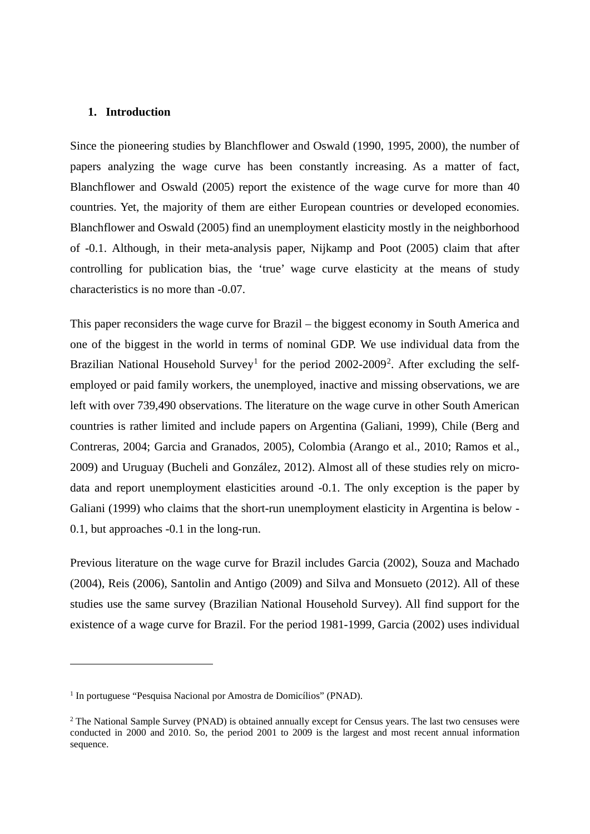#### **1. Introduction**

Since the pioneering studies by Blanchflower and Oswald (1990, 1995, 2000), the number of papers analyzing the wage curve has been constantly increasing. As a matter of fact, Blanchflower and Oswald (2005) report the existence of the wage curve for more than 40 countries. Yet, the majority of them are either European countries or developed economies. Blanchflower and Oswald (2005) find an unemployment elasticity mostly in the neighborhood of -0.1. Although, in their meta-analysis paper, Nijkamp and Poot (2005) claim that after controlling for publication bias, the 'true' wage curve elasticity at the means of study characteristics is no more than -0.07.

This paper reconsiders the wage curve for Brazil – the biggest economy in South America and one of the biggest in the world in terms of nominal GDP. We use individual data from the Brazilian National Household Survey<sup>[1](#page-3-0)</sup> for the period  $2002-2009^2$  $2002-2009^2$ . After excluding the selfemployed or paid family workers, the unemployed, inactive and missing observations, we are left with over 739,490 observations. The literature on the wage curve in other South American countries is rather limited and include papers on Argentina (Galiani, 1999), Chile (Berg and Contreras, 2004; Garcia and Granados, 2005), Colombia (Arango et al., 2010; Ramos et al., 2009) and Uruguay (Bucheli and González, 2012). Almost all of these studies rely on microdata and report unemployment elasticities around -0.1. The only exception is the paper by Galiani (1999) who claims that the short-run unemployment elasticity in Argentina is below - 0.1, but approaches -0.1 in the long-run.

Previous literature on the wage curve for Brazil includes Garcia (2002), Souza and Machado (2004), Reis (2006), Santolin and Antigo (2009) and Silva and Monsueto (2012). All of these studies use the same survey (Brazilian National Household Survey). All find support for the existence of a wage curve for Brazil. For the period 1981-1999, Garcia (2002) uses individual

 $\overline{a}$ 

<span id="page-3-0"></span><sup>&</sup>lt;sup>1</sup> In portuguese "Pesquisa Nacional por Amostra de Domicílios" (PNAD).

<span id="page-3-1"></span><sup>2</sup> The National Sample Survey (PNAD) is obtained annually except for Census years. The last two censuses were conducted in 2000 and 2010. So, the period 2001 to 2009 is the largest and most recent annual information sequence.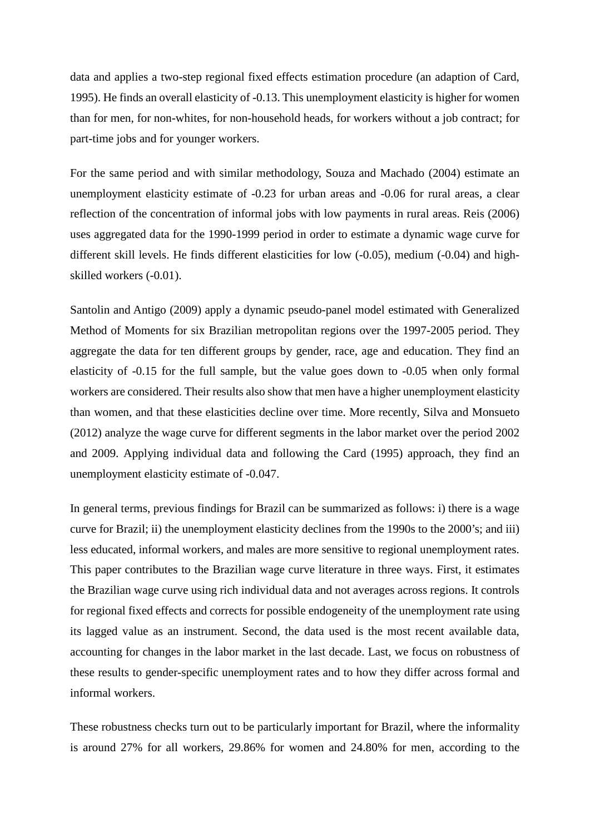data and applies a two-step regional fixed effects estimation procedure (an adaption of Card, 1995). He finds an overall elasticity of -0.13. This unemployment elasticity is higher for women than for men, for non-whites, for non-household heads, for workers without a job contract; for part-time jobs and for younger workers.

For the same period and with similar methodology, Souza and Machado (2004) estimate an unemployment elasticity estimate of -0.23 for urban areas and -0.06 for rural areas, a clear reflection of the concentration of informal jobs with low payments in rural areas. Reis (2006) uses aggregated data for the 1990-1999 period in order to estimate a dynamic wage curve for different skill levels. He finds different elasticities for low (-0.05), medium (-0.04) and highskilled workers (-0.01).

Santolin and Antigo (2009) apply a dynamic pseudo-panel model estimated with Generalized Method of Moments for six Brazilian metropolitan regions over the 1997-2005 period. They aggregate the data for ten different groups by gender, race, age and education. They find an elasticity of -0.15 for the full sample, but the value goes down to -0.05 when only formal workers are considered. Their results also show that men have a higher unemployment elasticity than women, and that these elasticities decline over time. More recently, Silva and Monsueto (2012) analyze the wage curve for different segments in the labor market over the period 2002 and 2009. Applying individual data and following the Card (1995) approach, they find an unemployment elasticity estimate of -0.047.

In general terms, previous findings for Brazil can be summarized as follows: i) there is a wage curve for Brazil; ii) the unemployment elasticity declines from the 1990s to the 2000's; and iii) less educated, informal workers, and males are more sensitive to regional unemployment rates. This paper contributes to the Brazilian wage curve literature in three ways. First, it estimates the Brazilian wage curve using rich individual data and not averages across regions. It controls for regional fixed effects and corrects for possible endogeneity of the unemployment rate using its lagged value as an instrument. Second, the data used is the most recent available data, accounting for changes in the labor market in the last decade. Last, we focus on robustness of these results to gender-specific unemployment rates and to how they differ across formal and informal workers.

These robustness checks turn out to be particularly important for Brazil, where the informality is around 27% for all workers, 29.86% for women and 24.80% for men, according to the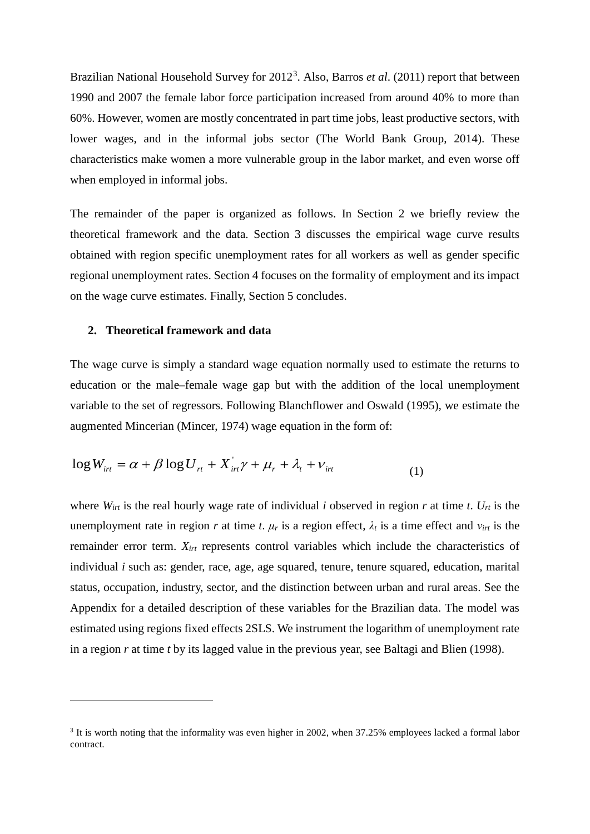Brazilian National Household Survey for 2012<sup>[3](#page-5-0)</sup>. Also, Barros *et al.* (2011) report that between 1990 and 2007 the female labor force participation increased from around 40% to more than 60%. However, women are mostly concentrated in part time jobs, least productive sectors, with lower wages, and in the informal jobs sector (The World Bank Group, 2014). These characteristics make women a more vulnerable group in the labor market, and even worse off when employed in informal jobs.

The remainder of the paper is organized as follows. In Section 2 we briefly review the theoretical framework and the data. Section 3 discusses the empirical wage curve results obtained with region specific unemployment rates for all workers as well as gender specific regional unemployment rates. Section 4 focuses on the formality of employment and its impact on the wage curve estimates. Finally, Section 5 concludes.

#### **2. Theoretical framework and data**

 $\overline{a}$ 

The wage curve is simply a standard wage equation normally used to estimate the returns to education or the male–female wage gap but with the addition of the local unemployment variable to the set of regressors. Following Blanchflower and Oswald (1995), we estimate the augmented Mincerian (Mincer, 1974) wage equation in the form of:

$$
\log W_{\text{irr}} = \alpha + \beta \log U_{\text{rt}} + X_{\text{irr}}' \gamma + \mu_r + \lambda_t + \nu_{\text{irt}} \tag{1}
$$

where  $W_{irt}$  is the real hourly wage rate of individual *i* observed in region *r* at time *t*.  $U_{rt}$  is the unemployment rate in region *r* at time *t*.  $\mu_r$  is a region effect,  $\lambda_t$  is a time effect and  $v_{irt}$  is the remainder error term. *Xirt* represents control variables which include the characteristics of individual *i* such as: gender, race, age, age squared, tenure, tenure squared, education, marital status, occupation, industry, sector, and the distinction between urban and rural areas. See the Appendix for a detailed description of these variables for the Brazilian data. The model was estimated using regions fixed effects 2SLS. We instrument the logarithm of unemployment rate in a region *r* at time *t* by its lagged value in the previous year, see Baltagi and Blien (1998).

<span id="page-5-0"></span><sup>&</sup>lt;sup>3</sup> It is worth noting that the informality was even higher in 2002, when 37.25% employees lacked a formal labor contract.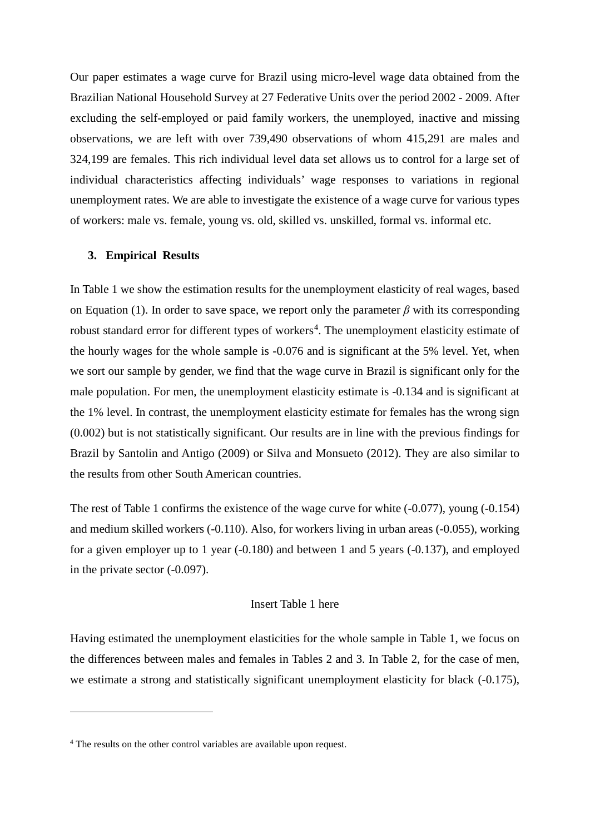Our paper estimates a wage curve for Brazil using micro-level wage data obtained from the Brazilian National Household Survey at 27 Federative Units over the period 2002 - 2009. After excluding the self-employed or paid family workers, the unemployed, inactive and missing observations, we are left with over 739,490 observations of whom 415,291 are males and 324,199 are females. This rich individual level data set allows us to control for a large set of individual characteristics affecting individuals' wage responses to variations in regional unemployment rates. We are able to investigate the existence of a wage curve for various types of workers: male vs. female, young vs. old, skilled vs. unskilled, formal vs. informal etc.

#### **3. Empirical Results**

In Table 1 we show the estimation results for the unemployment elasticity of real wages, based on Equation (1). In order to save space, we report only the parameter  $\beta$  with its corresponding robust standard error for different types of workers<sup>[4](#page-6-0)</sup>. The unemployment elasticity estimate of the hourly wages for the whole sample is -0.076 and is significant at the 5% level. Yet, when we sort our sample by gender, we find that the wage curve in Brazil is significant only for the male population. For men, the unemployment elasticity estimate is -0.134 and is significant at the 1% level. In contrast, the unemployment elasticity estimate for females has the wrong sign (0.002) but is not statistically significant. Our results are in line with the previous findings for Brazil by Santolin and Antigo (2009) or Silva and Monsueto (2012). They are also similar to the results from other South American countries.

The rest of Table 1 confirms the existence of the wage curve for white (-0.077), young (-0.154) and medium skilled workers (-0.110). Also, for workers living in urban areas (-0.055), working for a given employer up to 1 year (-0.180) and between 1 and 5 years (-0.137), and employed in the private sector (-0.097).

#### Insert Table 1 here

Having estimated the unemployment elasticities for the whole sample in Table 1, we focus on the differences between males and females in Tables 2 and 3. In Table 2, for the case of men, we estimate a strong and statistically significant unemployment elasticity for black (-0.175),

 $\overline{a}$ 

<span id="page-6-0"></span><sup>&</sup>lt;sup>4</sup> The results on the other control variables are available upon request.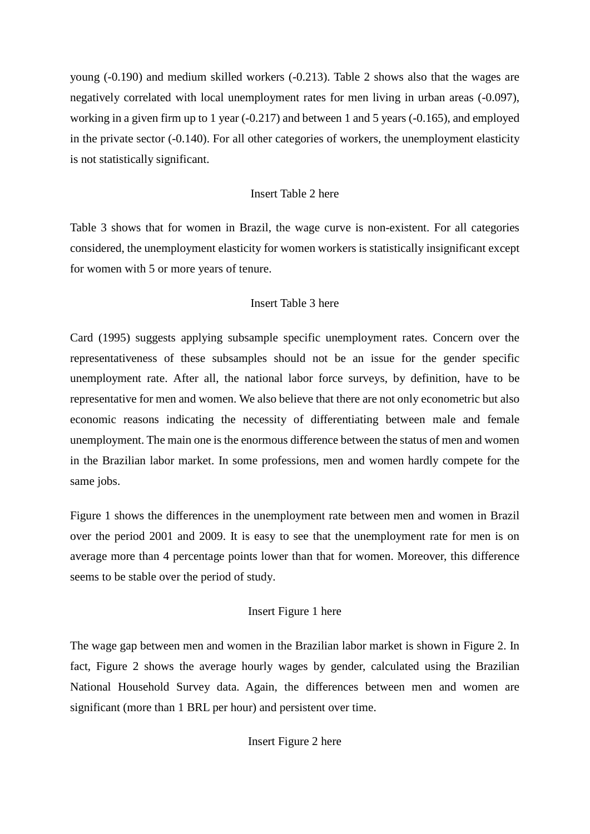young (-0.190) and medium skilled workers (-0.213). Table 2 shows also that the wages are negatively correlated with local unemployment rates for men living in urban areas (-0.097), working in a given firm up to 1 year (-0.217) and between 1 and 5 years (-0.165), and employed in the private sector (-0.140). For all other categories of workers, the unemployment elasticity is not statistically significant.

## Insert Table 2 here

Table 3 shows that for women in Brazil, the wage curve is non-existent. For all categories considered, the unemployment elasticity for women workers is statistically insignificant except for women with 5 or more years of tenure.

## Insert Table 3 here

Card (1995) suggests applying subsample specific unemployment rates. Concern over the representativeness of these subsamples should not be an issue for the gender specific unemployment rate. After all, the national labor force surveys, by definition, have to be representative for men and women. We also believe that there are not only econometric but also economic reasons indicating the necessity of differentiating between male and female unemployment. The main one is the enormous difference between the status of men and women in the Brazilian labor market. In some professions, men and women hardly compete for the same jobs.

Figure 1 shows the differences in the unemployment rate between men and women in Brazil over the period 2001 and 2009. It is easy to see that the unemployment rate for men is on average more than 4 percentage points lower than that for women. Moreover, this difference seems to be stable over the period of study.

# Insert Figure 1 here

The wage gap between men and women in the Brazilian labor market is shown in Figure 2. In fact, Figure 2 shows the average hourly wages by gender, calculated using the Brazilian National Household Survey data. Again, the differences between men and women are significant (more than 1 BRL per hour) and persistent over time.

# Insert Figure 2 here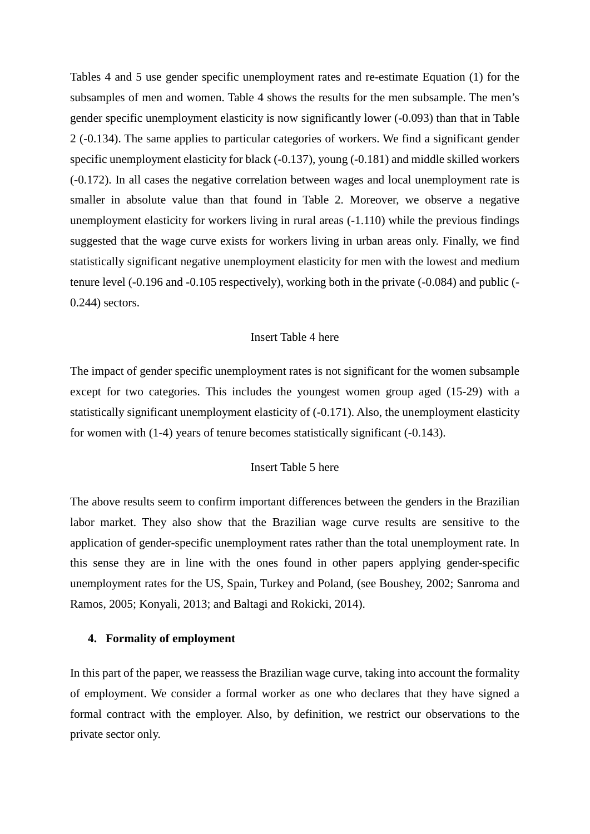Tables 4 and 5 use gender specific unemployment rates and re-estimate Equation (1) for the subsamples of men and women. Table 4 shows the results for the men subsample. The men's gender specific unemployment elasticity is now significantly lower (-0.093) than that in Table 2 (-0.134). The same applies to particular categories of workers. We find a significant gender specific unemployment elasticity for black (-0.137), young (-0.181) and middle skilled workers (-0.172). In all cases the negative correlation between wages and local unemployment rate is smaller in absolute value than that found in Table 2. Moreover, we observe a negative unemployment elasticity for workers living in rural areas (-1.110) while the previous findings suggested that the wage curve exists for workers living in urban areas only. Finally, we find statistically significant negative unemployment elasticity for men with the lowest and medium tenure level (-0.196 and -0.105 respectively), working both in the private (-0.084) and public (- 0.244) sectors.

#### Insert Table 4 here

The impact of gender specific unemployment rates is not significant for the women subsample except for two categories. This includes the youngest women group aged (15-29) with a statistically significant unemployment elasticity of (-0.171). Also, the unemployment elasticity for women with (1-4) years of tenure becomes statistically significant (-0.143).

#### Insert Table 5 here

The above results seem to confirm important differences between the genders in the Brazilian labor market. They also show that the Brazilian wage curve results are sensitive to the application of gender-specific unemployment rates rather than the total unemployment rate. In this sense they are in line with the ones found in other papers applying gender-specific unemployment rates for the US, Spain, Turkey and Poland, (see Boushey, 2002; Sanroma and Ramos, 2005; Konyali, 2013; and Baltagi and Rokicki, 2014).

#### **4. Formality of employment**

In this part of the paper, we reassess the Brazilian wage curve, taking into account the formality of employment. We consider a formal worker as one who declares that they have signed a formal contract with the employer. Also, by definition, we restrict our observations to the private sector only.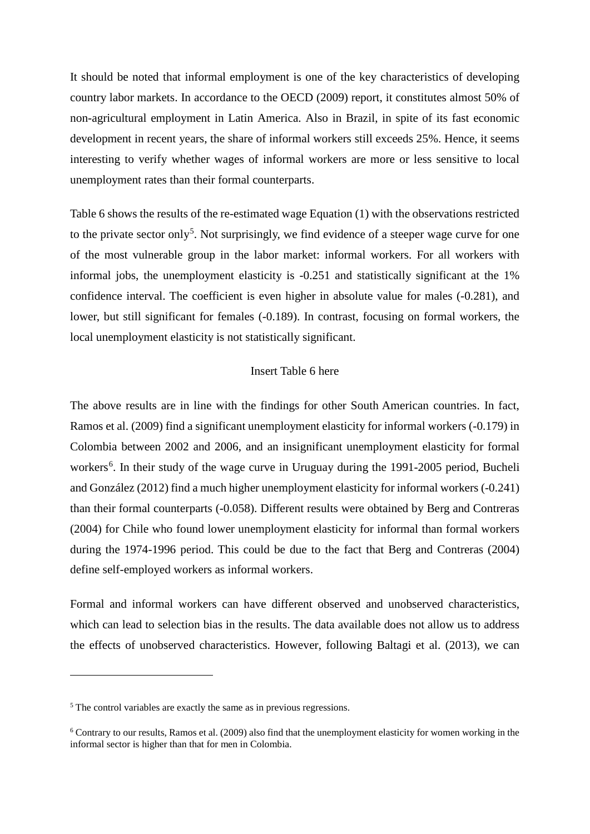It should be noted that informal employment is one of the key characteristics of developing country labor markets. In accordance to the OECD (2009) report, it constitutes almost 50% of non-agricultural employment in Latin America. Also in Brazil, in spite of its fast economic development in recent years, the share of informal workers still exceeds 25%. Hence, it seems interesting to verify whether wages of informal workers are more or less sensitive to local unemployment rates than their formal counterparts.

Table 6 shows the results of the re-estimated wage Equation (1) with the observations restricted to the private sector only<sup>[5](#page-9-0)</sup>. Not surprisingly, we find evidence of a steeper wage curve for one of the most vulnerable group in the labor market: informal workers. For all workers with informal jobs, the unemployment elasticity is -0.251 and statistically significant at the 1% confidence interval. The coefficient is even higher in absolute value for males (-0.281), and lower, but still significant for females (-0.189). In contrast, focusing on formal workers, the local unemployment elasticity is not statistically significant.

#### Insert Table 6 here

The above results are in line with the findings for other South American countries. In fact, Ramos et al. (2009) find a significant unemployment elasticity for informal workers (-0.179) in Colombia between 2002 and 2006, and an insignificant unemployment elasticity for formal workers<sup>[6](#page-9-1)</sup>. In their study of the wage curve in Uruguay during the 1991-2005 period, Bucheli and González (2012) find a much higher unemployment elasticity for informal workers (-0.241) than their formal counterparts (-0.058). Different results were obtained by Berg and Contreras (2004) for Chile who found lower unemployment elasticity for informal than formal workers during the 1974-1996 period. This could be due to the fact that Berg and Contreras (2004) define self-employed workers as informal workers.

Formal and informal workers can have different observed and unobserved characteristics, which can lead to selection bias in the results. The data available does not allow us to address the effects of unobserved characteristics. However, following Baltagi et al. (2013), we can

 $\overline{a}$ 

<span id="page-9-0"></span><sup>5</sup> The control variables are exactly the same as in previous regressions.

<span id="page-9-1"></span> $6$  Contrary to our results, Ramos et al. (2009) also find that the unemployment elasticity for women working in the informal sector is higher than that for men in Colombia.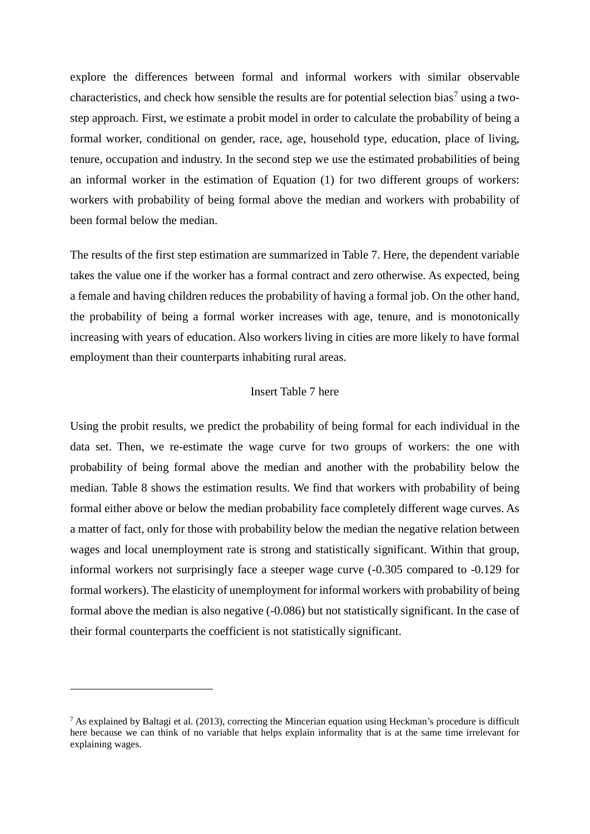explore the differences between formal and informal workers with similar observable characteristics, and check how sensible the results are for potential selection bias<sup>[7](#page-10-0)</sup> using a twostep approach. First, we estimate a probit model in order to calculate the probability of being a formal worker, conditional on gender, race, age, household type, education, place of living, tenure, occupation and industry. In the second step we use the estimated probabilities of being an informal worker in the estimation of Equation (1) for two different groups of workers: workers with probability of being formal above the median and workers with probability of been formal below the median.

The results of the first step estimation are summarized in Table 7. Here, the dependent variable takes the value one if the worker has a formal contract and zero otherwise. As expected, being a female and having children reduces the probability of having a formal job. On the other hand, the probability of being a formal worker increases with age, tenure, and is monotonically increasing with years of education. Also workers living in cities are more likely to have formal employment than their counterparts inhabiting rural areas.

#### Insert Table 7 here

Using the probit results, we predict the probability of being formal for each individual in the data set. Then, we re-estimate the wage curve for two groups of workers: the one with probability of being formal above the median and another with the probability below the median. Table 8 shows the estimation results. We find that workers with probability of being formal either above or below the median probability face completely different wage curves. As a matter of fact, only for those with probability below the median the negative relation between wages and local unemployment rate is strong and statistically significant. Within that group, informal workers not surprisingly face a steeper wage curve (-0.305 compared to -0.129 for formal workers). The elasticity of unemployment for informal workers with probability of being formal above the median is also negative (-0.086) but not statistically significant. In the case of their formal counterparts the coefficient is not statistically significant.

 $\overline{a}$ 

<span id="page-10-0"></span> $<sup>7</sup>$  As explained by Baltagi et al. (2013), correcting the Mincerian equation using Heckman's procedure is difficult</sup> here because we can think of no variable that helps explain informality that is at the same time irrelevant for explaining wages.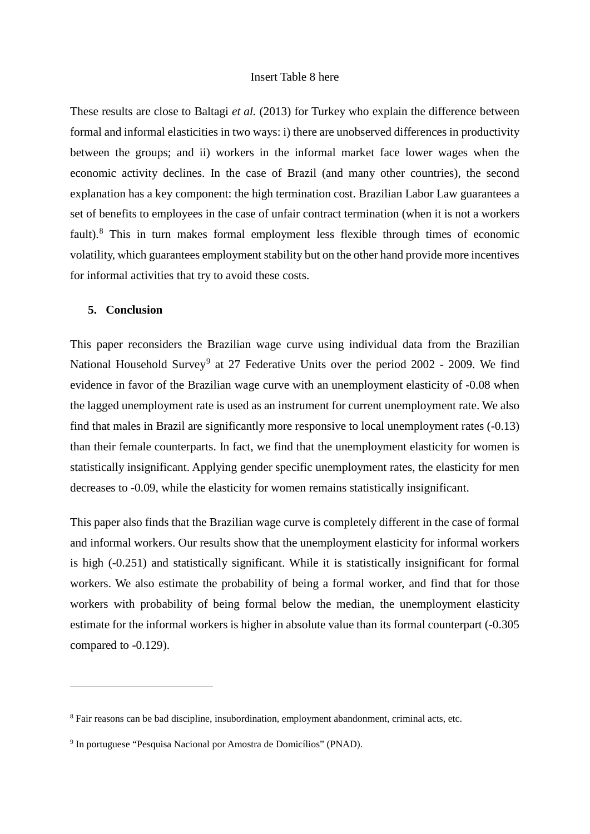#### Insert Table 8 here

These results are close to Baltagi *et al.* (2013) for Turkey who explain the difference between formal and informal elasticities in two ways: i) there are unobserved differences in productivity between the groups; and ii) workers in the informal market face lower wages when the economic activity declines. In the case of Brazil (and many other countries), the second explanation has a key component: the high termination cost. Brazilian Labor Law guarantees a set of benefits to employees in the case of unfair contract termination (when it is not a workers fault).<sup>[8](#page-11-0)</sup> This in turn makes formal employment less flexible through times of economic volatility, which guarantees employment stability but on the other hand provide more incentives for informal activities that try to avoid these costs.

#### **5. Conclusion**

 $\overline{a}$ 

This paper reconsiders the Brazilian wage curve using individual data from the Brazilian National Household Survey<sup>[9](#page-11-1)</sup> at 27 Federative Units over the period 2002 - 2009. We find evidence in favor of the Brazilian wage curve with an unemployment elasticity of -0.08 when the lagged unemployment rate is used as an instrument for current unemployment rate. We also find that males in Brazil are significantly more responsive to local unemployment rates (-0.13) than their female counterparts. In fact, we find that the unemployment elasticity for women is statistically insignificant. Applying gender specific unemployment rates, the elasticity for men decreases to -0.09, while the elasticity for women remains statistically insignificant.

This paper also finds that the Brazilian wage curve is completely different in the case of formal and informal workers. Our results show that the unemployment elasticity for informal workers is high (-0.251) and statistically significant. While it is statistically insignificant for formal workers. We also estimate the probability of being a formal worker, and find that for those workers with probability of being formal below the median, the unemployment elasticity estimate for the informal workers is higher in absolute value than its formal counterpart (-0.305 compared to -0.129).

<span id="page-11-0"></span><sup>&</sup>lt;sup>8</sup> Fair reasons can be bad discipline, insubordination, employment abandonment, criminal acts, etc.

<span id="page-11-1"></span><sup>9</sup> In portuguese "Pesquisa Nacional por Amostra de Domicílios" (PNAD).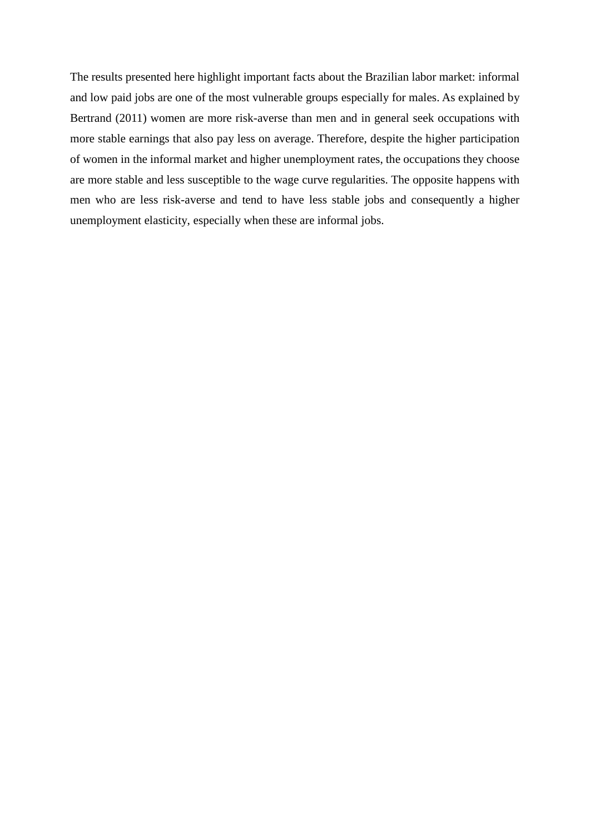The results presented here highlight important facts about the Brazilian labor market: informal and low paid jobs are one of the most vulnerable groups especially for males. As explained by Bertrand (2011) women are more risk-averse than men and in general seek occupations with more stable earnings that also pay less on average. Therefore, despite the higher participation of women in the informal market and higher unemployment rates, the occupations they choose are more stable and less susceptible to the wage curve regularities. The opposite happens with men who are less risk-averse and tend to have less stable jobs and consequently a higher unemployment elasticity, especially when these are informal jobs.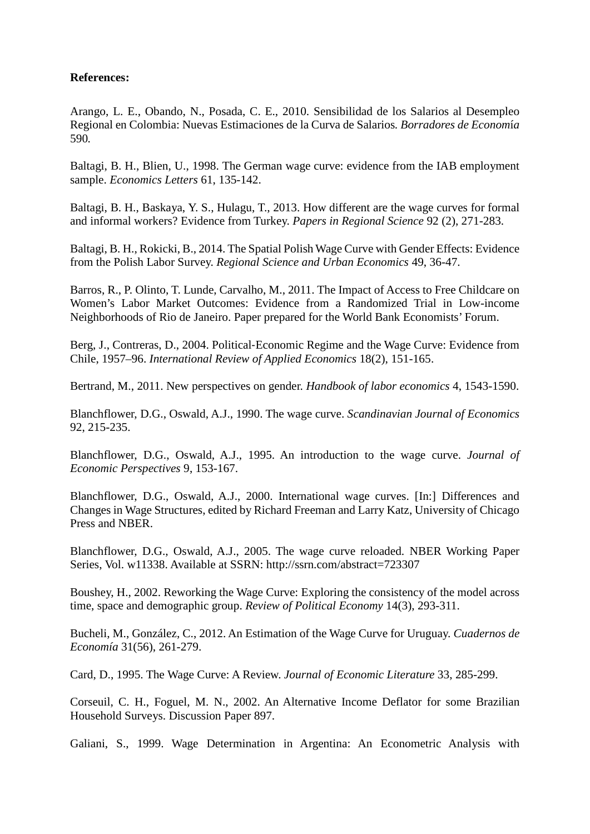### **References:**

Arango, L. E., Obando, N., Posada, C. E., 2010. Sensibilidad de los Salarios al Desempleo Regional en Colombia: Nuevas Estimaciones de la Curva de Salarios*. Borradores de Econom*í*a*  590*.*

Baltagi, B. H., Blien, U., 1998. The German wage curve: evidence from the IAB employment sample. *Economics Letters* 61, 135-142.

Baltagi, B. H., Baskaya, Y. S., Hulagu, T., 2013. How different are the wage curves for formal and informal workers? Evidence from Turkey. *Papers in Regional Science* 92 (2), 271-283.

Baltagi, B. H., Rokicki, B., 2014. The Spatial Polish Wage Curve with Gender Effects: Evidence from the Polish Labor Survey. *Regional Science and Urban Economics* 49, 36-47.

Barros, R., P. Olinto, T. Lunde, Carvalho, M., 2011. The Impact of Access to Free Childcare on Women's Labor Market Outcomes: Evidence from a Randomized Trial in Low-income Neighborhoods of Rio de Janeiro. Paper prepared for the World Bank Economists' Forum.

Berg, J., Contreras, D., 2004. Political-Economic Regime and the Wage Curve: Evidence from Chile, 1957–96. *International Review of Applied Economics* 18(2), 151-165.

Bertrand, M., 2011. New perspectives on gender. *Handbook of labor economics* 4, 1543-1590.

Blanchflower, D.G., Oswald, A.J., 1990. The wage curve. *Scandinavian Journal of Economics* 92, 215-235.

Blanchflower, D.G., Oswald, A.J., 1995. An introduction to the wage curve. *Journal of Economic Perspectives* 9, 153-167.

Blanchflower, D.G., Oswald, A.J., 2000. International wage curves. [In:] Differences and Changes in Wage Structures, edited by Richard Freeman and Larry Katz, University of Chicago Press and NBER.

Blanchflower, D.G., Oswald, A.J., 2005. The wage curve reloaded. NBER Working Paper Series, Vol. w11338. Available at SSRN: http://ssrn.com/abstract=723307

Boushey, H., 2002. Reworking the Wage Curve: Exploring the consistency of the model across time, space and demographic group. *Review of Political Economy* 14(3), 293-311.

Bucheli, M., González, C., 2012. An Estimation of the Wage Curve for Uruguay. *Cuadernos de Economía* 31(56), 261-279.

Card, D., 1995. The Wage Curve: A Review. *Journal of Economic Literature* 33, 285-299.

Corseuil, C. H., Foguel, M. N., 2002. An Alternative Income Deflator for some Brazilian Household Surveys. Discussion Paper 897.

Galiani, S., 1999. Wage Determination in Argentina: An Econometric Analysis with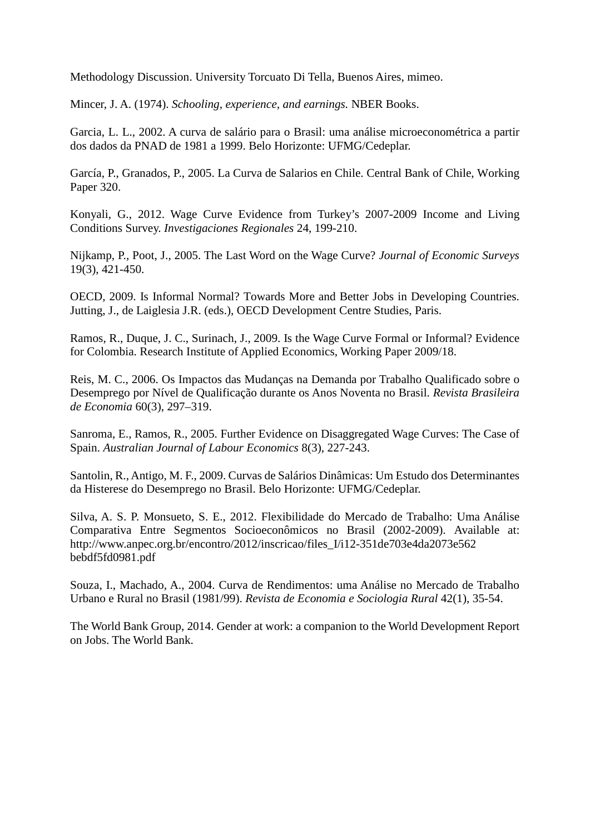Methodology Discussion. University Torcuato Di Tella, Buenos Aires, mimeo.

Mincer, J. A. (1974). *Schooling, experience, and earnings.* NBER Books.

Garcia, L. L., 2002. A curva de salário para o Brasil: uma análise microeconométrica a partir dos dados da PNAD de 1981 a 1999. Belo Horizonte: UFMG/Cedeplar.

García, P., Granados, P., 2005. La Curva de Salarios en Chile. Central Bank of Chile, Working Paper 320.

Konyali, G., 2012. Wage Curve Evidence from Turkey's 2007-2009 Income and Living Conditions Survey. *Investigaciones Regionales* 24, 199-210.

Nijkamp, P., Poot, J., 2005. The Last Word on the Wage Curve? *Journal of Economic Surveys* 19(3), 421-450.

OECD, 2009. Is Informal Normal? Towards More and Better Jobs in Developing Countries. Jutting, J., de Laiglesia J.R. (eds.), OECD Development Centre Studies, Paris.

Ramos, R., Duque, J. C., Surinach, J., 2009. Is the Wage Curve Formal or Informal? Evidence for Colombia. Research Institute of Applied Economics, Working Paper 2009/18.

Reis, M. C., 2006. Os Impactos das Mudanças na Demanda por Trabalho Qualificado sobre o Desemprego por Nível de Qualificação durante os Anos Noventa no Brasil. *Revista Brasileira de Economia* 60(3), 297–319.

Sanroma, E., Ramos, R., 2005. Further Evidence on Disaggregated Wage Curves: The Case of Spain. *Australian Journal of Labour Economics* 8(3), 227-243.

Santolin, R., Antigo, M. F., 2009. Curvas de Salários Dinâmicas: Um Estudo dos Determinantes da Histerese do Desemprego no Brasil. Belo Horizonte: UFMG/Cedeplar.

Silva, A. S. P. Monsueto, S. E., 2012. Flexibilidade do Mercado de Trabalho: Uma Análise Comparativa Entre Segmentos Socioeconômicos no Brasil (2002-2009). Available at: http://www.anpec.org.br/encontro/2012/inscricao/files\_I/i12-351de703e4da2073e562 bebdf5fd0981.pdf

Souza, I., Machado, A., 2004. Curva de Rendimentos: uma Análise no Mercado de Trabalho Urbano e Rural no Brasil (1981/99). *Revista de Economia e Sociologia Rural* 42(1), 35-54.

The World Bank Group, 2014. Gender at work: a companion to the World Development Report on Jobs. The World Bank.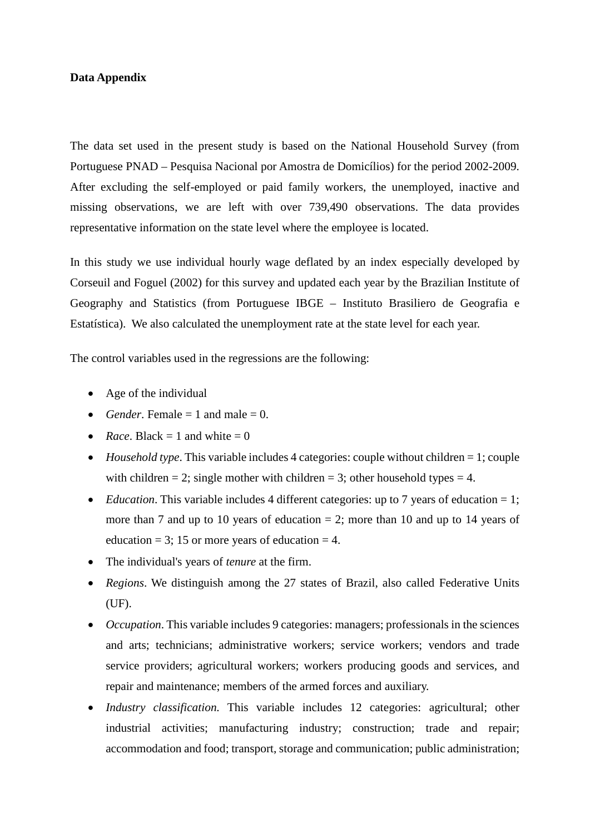#### **Data Appendix**

The data set used in the present study is based on the National Household Survey (from Portuguese PNAD – Pesquisa Nacional por Amostra de Domicílios) for the period 2002-2009. After excluding the self-employed or paid family workers, the unemployed, inactive and missing observations, we are left with over 739,490 observations. The data provides representative information on the state level where the employee is located.

In this study we use individual hourly wage deflated by an index especially developed by Corseuil and Foguel (2002) for this survey and updated each year by the Brazilian Institute of Geography and Statistics (from Portuguese IBGE – Instituto Brasiliero de Geografia e Estatística). We also calculated the unemployment rate at the state level for each year.

The control variables used in the regressions are the following:

- Age of the individual
- *Gender*. Female  $= 1$  and male  $= 0$ .
- *Race*. Black  $= 1$  and white  $= 0$
- *Household type*. This variable includes 4 categories: couple without children = 1; couple with children = 2; single mother with children = 3; other household types = 4.
- *Education*. This variable includes 4 different categories: up to 7 years of education = 1; more than 7 and up to 10 years of education  $= 2$ ; more than 10 and up to 14 years of education = 3; 15 or more years of education = 4.
- The individual's years of *tenure* at the firm.
- *Regions*. We distinguish among the 27 states of Brazil, also called Federative Units (UF).
- *Occupation*. This variable includes 9 categories: managers; professionals in the sciences and arts; technicians; administrative workers; service workers; vendors and trade service providers; agricultural workers; workers producing goods and services, and repair and maintenance; members of the armed forces and auxiliary.
- *Industry classification.* This variable includes 12 categories: agricultural; other industrial activities; manufacturing industry; construction; trade and repair; accommodation and food; transport, storage and communication; public administration;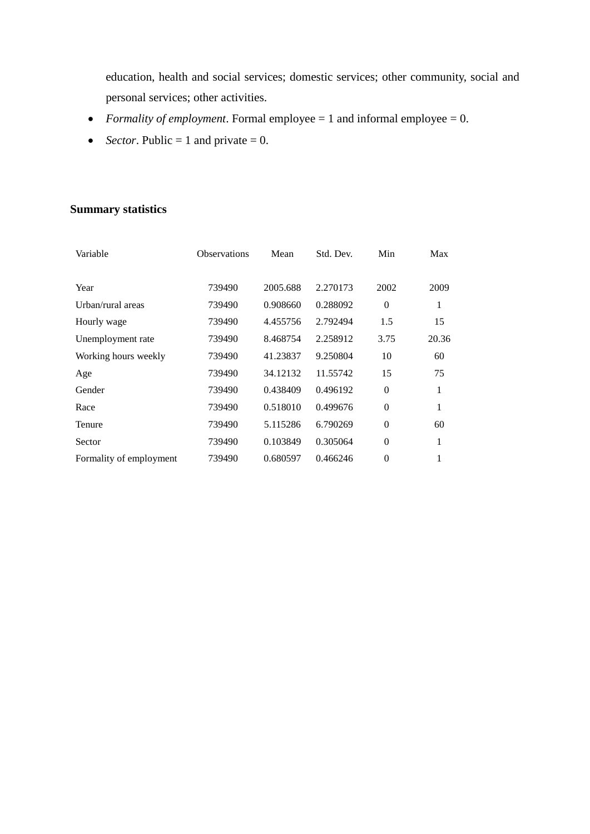education, health and social services; domestic services; other community, social and personal services; other activities.

- *Formality of employment*. Formal employee = 1 and informal employee = 0.
- *Sector*. Public = 1 and private = 0.

# **Summary statistics**

| Variable                | <b>Observations</b> | Mean     | Std. Dev. | Min      | Max   |
|-------------------------|---------------------|----------|-----------|----------|-------|
|                         |                     |          |           |          |       |
| Year                    | 739490              | 2005.688 | 2.270173  | 2002     | 2009  |
| Urban/rural areas       | 739490              | 0.908660 | 0.288092  | $\theta$ | 1     |
| Hourly wage             | 739490              | 4.455756 | 2.792494  | 1.5      | 15    |
| Unemployment rate       | 739490              | 8.468754 | 2.258912  | 3.75     | 20.36 |
| Working hours weekly    | 739490              | 41.23837 | 9.250804  | 10       | 60    |
| Age                     | 739490              | 34.12132 | 11.55742  | 15       | 75    |
| Gender                  | 739490              | 0.438409 | 0.496192  | $\theta$ | 1     |
| Race                    | 739490              | 0.518010 | 0.499676  | $\theta$ | 1     |
| Tenure                  | 739490              | 5.115286 | 6.790269  | $\theta$ | 60    |
| Sector                  | 739490              | 0.103849 | 0.305064  | $\theta$ | 1     |
| Formality of employment | 739490              | 0.680597 | 0.466246  | $\theta$ | 1     |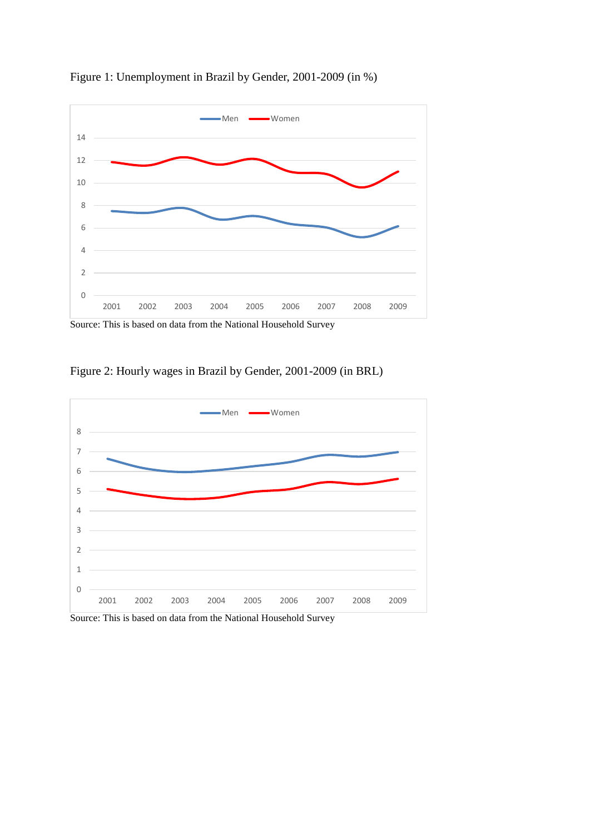

Figure 1: Unemployment in Brazil by Gender, 2001-2009 (in %)

Figure 2: Hourly wages in Brazil by Gender, 2001-2009 (in BRL)



Source: This is based on data from the National Household Survey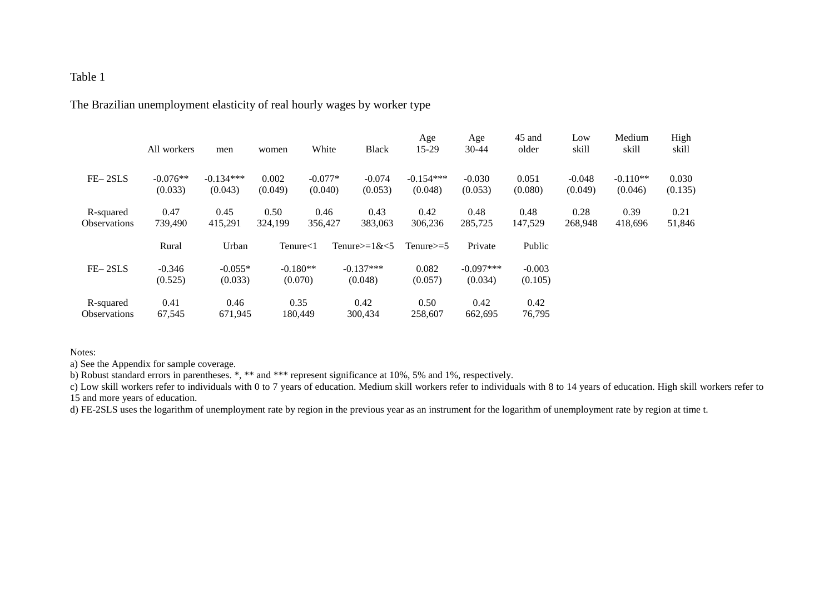The Brazilian unemployment elasticity of real hourly wages by worker type

|                                  | All workers           | men                    | women                 | White                | <b>Black</b>           | Age<br>15-29           | Age<br>$30-44$         | 45 and<br>older     | Low<br>skill        | Medium<br>skill       | High<br>skill    |
|----------------------------------|-----------------------|------------------------|-----------------------|----------------------|------------------------|------------------------|------------------------|---------------------|---------------------|-----------------------|------------------|
| $FE-2SLS$                        | $-0.076**$<br>(0.033) | $-0.134***$<br>(0.043) | 0.002<br>(0.049)      | $-0.077*$<br>(0.040) | $-0.074$<br>(0.053)    | $-0.154***$<br>(0.048) | $-0.030$<br>(0.053)    | 0.051<br>(0.080)    | $-0.048$<br>(0.049) | $-0.110**$<br>(0.046) | 0.030<br>(0.135) |
| R-squared<br><b>Observations</b> | 0.47<br>739,490       | 0.45<br>415,291        | 0.50<br>324,199       | 0.46<br>356,427      | 0.43<br>383,063        | 0.42<br>306,236        | 0.48<br>285,725        | 0.48<br>147,529     | 0.28<br>268,948     | 0.39<br>418,696       | 0.21<br>51,846   |
|                                  | Rural                 | Urban                  | $T$ enure $<$ 1       |                      | Tenure $>=1$ & $<$ 5   | Tenure $\geq=5$        | Private                | Public              |                     |                       |                  |
| $FE-2SLS$                        | $-0.346$<br>(0.525)   | $-0.055*$<br>(0.033)   | $-0.180**$<br>(0.070) |                      | $-0.137***$<br>(0.048) | 0.082<br>(0.057)       | $-0.097***$<br>(0.034) | $-0.003$<br>(0.105) |                     |                       |                  |
| R-squared<br><b>Observations</b> | 0.41<br>67,545        | 0.46<br>671,945        | 0.35                  | 180,449              | 0.42<br>300,434        | 0.50<br>258,607        | 0.42<br>662.695        | 0.42<br>76,795      |                     |                       |                  |

#### Notes:

a) See the Appendix for sample coverage.

b) Robust standard errors in parentheses. \*, \*\* and \*\*\* represent significance at 10%, 5% and 1%, respectively.

c) Low skill workers refer to individuals with 0 to 7 years of education. Medium skill workers refer to individuals with 8 to 14 years of education. High skill workers refer to 15 and more years of education.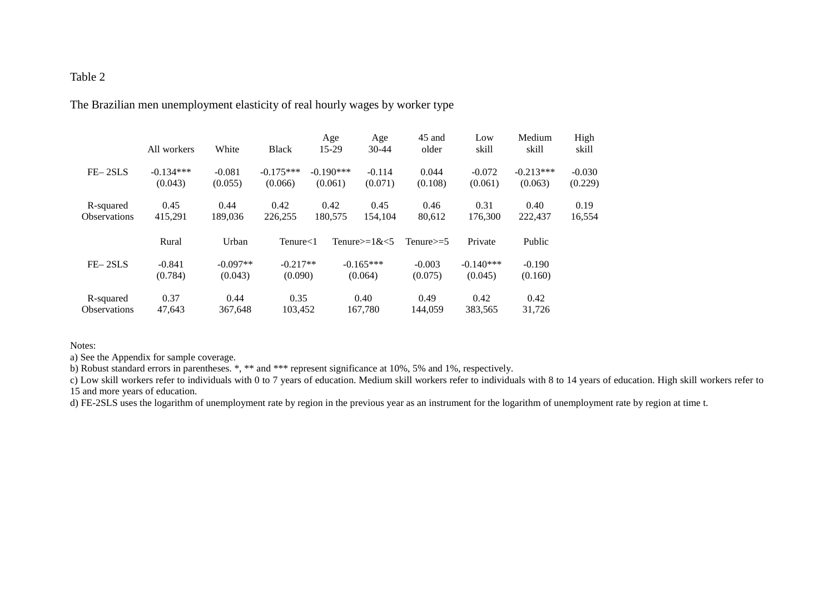The Brazilian men unemployment elasticity of real hourly wages by worker type

|                                  | All workers            | White                 | <b>Black</b>           | Age<br>15-29           | Age<br>$30 - 44$          | 45 and<br>older     | Low<br>skill           | Medium<br>skill        | High<br>skill       |
|----------------------------------|------------------------|-----------------------|------------------------|------------------------|---------------------------|---------------------|------------------------|------------------------|---------------------|
| $FE-2SLS$                        | $-0.134***$<br>(0.043) | $-0.081$<br>(0.055)   | $-0.175***$<br>(0.066) | $-0.190***$<br>(0.061) | $-0.114$<br>(0.071)       | 0.044<br>(0.108)    | $-0.072$<br>(0.061)    | $-0.213***$<br>(0.063) | $-0.030$<br>(0.229) |
| R-squared<br><b>Observations</b> | 0.45<br>415,291        | 0.44<br>189,036       | 0.42<br>226,255        | 0.42<br>180,575        | 0.45<br>154,104           | 0.46<br>80,612      | 0.31<br>176,300        | 0.40<br>222,437        | 0.19<br>16,554      |
|                                  | Rural                  | Urban                 | $T$ enure $<$ 1        |                        | Tenure $\geq$ =1& $\lt$ 5 | Tenure $\geq 5$     | Private                | Public                 |                     |
| $FE-2SLS$                        | $-0.841$<br>(0.784)    | $-0.097**$<br>(0.043) | $-0.217**$<br>(0.090)  |                        | $-0.165***$<br>(0.064)    | $-0.003$<br>(0.075) | $-0.140***$<br>(0.045) | $-0.190$<br>(0.160)    |                     |
| R-squared<br><b>Observations</b> | 0.37<br>47,643         | 0.44<br>367.648       | 0.35<br>103.452        |                        | 0.40<br>167,780           | 0.49<br>144.059     | 0.42<br>383,565        | 0.42<br>31,726         |                     |

Notes:

a) See the Appendix for sample coverage.

b) Robust standard errors in parentheses. \*, \*\* and \*\*\* represent significance at 10%, 5% and 1%, respectively.

c) Low skill workers refer to individuals with 0 to 7 years of education. Medium skill workers refer to individuals with 8 to 14 years of education. High skill workers refer to 15 and more years of education.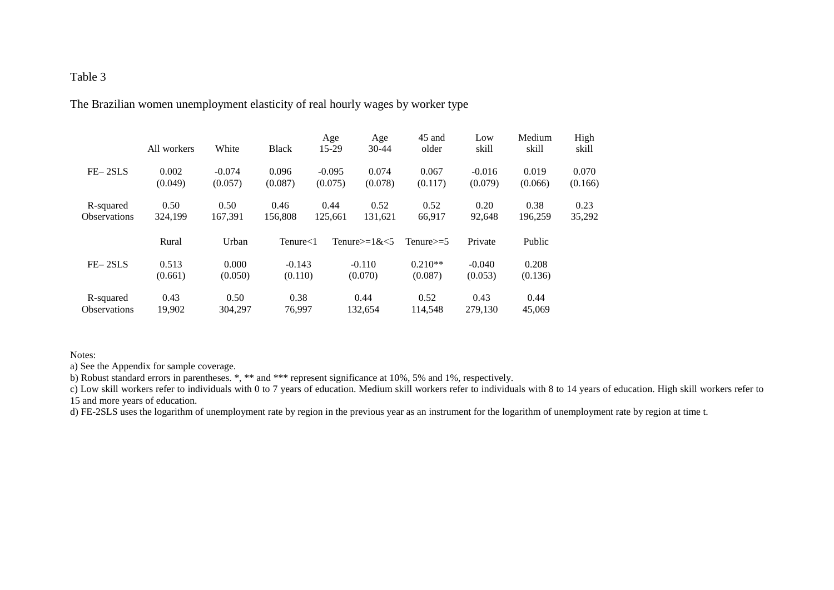The Brazilian women unemployment elasticity of real hourly wages by worker type

|                                  | All workers      | White               | <b>Black</b>        | Age<br>15-29        | Age<br>$30-44$            | 45 and<br>older      | Low<br>skill        | Medium<br>skill  | High<br>skill    |
|----------------------------------|------------------|---------------------|---------------------|---------------------|---------------------------|----------------------|---------------------|------------------|------------------|
| $FE-2SLS$                        | 0.002<br>(0.049) | $-0.074$<br>(0.057) | 0.096<br>(0.087)    | $-0.095$<br>(0.075) | 0.074<br>(0.078)          | 0.067<br>(0.117)     | $-0.016$<br>(0.079) | 0.019<br>(0.066) | 0.070<br>(0.166) |
| R-squared<br><b>Observations</b> | 0.50<br>324,199  | 0.50<br>167,391     | 0.46<br>156,808     | 0.44<br>125,661     | 0.52<br>131,621           | 0.52<br>66,917       | 0.20<br>92,648      | 0.38<br>196,259  | 0.23<br>35,292   |
|                                  | Rural            | Urban               | $T$ enure $<$ 1     |                     | Tenure $\geq$ =1& $\lt$ 5 | Tenure $\geq 5$      | Private             | Public           |                  |
| $FE-2SLS$                        | 0.513<br>(0.661) | 0.000<br>(0.050)    | $-0.143$<br>(0.110) |                     | $-0.110$<br>(0.070)       | $0.210**$<br>(0.087) | $-0.040$<br>(0.053) | 0.208<br>(0.136) |                  |
| R-squared<br><b>Observations</b> | 0.43<br>19,902   | 0.50<br>304.297     | 0.38<br>76,997      |                     | 0.44<br>132.654           | 0.52<br>114,548      | 0.43<br>279,130     | 0.44<br>45,069   |                  |

#### Notes:

a) See the Appendix for sample coverage.

b) Robust standard errors in parentheses. \*, \*\* and \*\*\* represent significance at 10%, 5% and 1%, respectively.

c) Low skill workers refer to individuals with 0 to 7 years of education. Medium skill workers refer to individuals with 8 to 14 years of education. High skill workers refer to 15 and more years of education.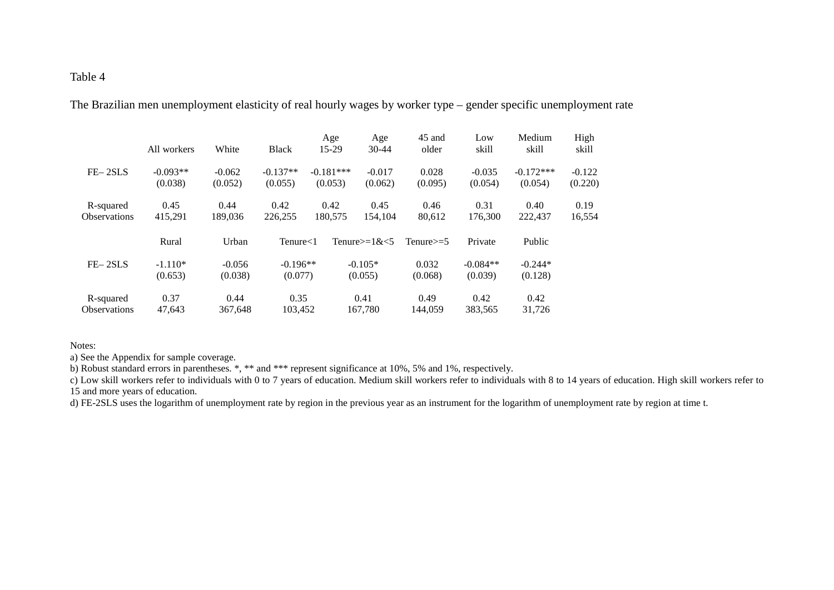The Brazilian men unemployment elasticity of real hourly wages by worker type – gender specific unemployment rate

|                                  | All workers           | White               | <b>Black</b>          | Age<br>15-29           | Age<br>$30 - 44$          | 45 and<br>older  | Low<br>skill          | Medium<br>skill        | High<br>skill       |
|----------------------------------|-----------------------|---------------------|-----------------------|------------------------|---------------------------|------------------|-----------------------|------------------------|---------------------|
| $FE-2SLS$                        | $-0.093**$<br>(0.038) | $-0.062$<br>(0.052) | $-0.137**$<br>(0.055) | $-0.181***$<br>(0.053) | $-0.017$<br>(0.062)       | 0.028<br>(0.095) | $-0.035$<br>(0.054)   | $-0.172***$<br>(0.054) | $-0.122$<br>(0.220) |
| R-squared<br><b>Observations</b> | 0.45<br>415,291       | 0.44<br>189,036     | 0.42<br>226,255       | 0.42<br>180,575        | 0.45<br>154.104           | 0.46<br>80,612   | 0.31<br>176.300       | 0.40<br>222.437        | 0.19<br>16,554      |
|                                  | Rural                 | Urban               | $T$ enure $<$ 1       |                        | Tenure $\geq$ =1& $\lt$ 5 | Tenure $\geq 5$  | Private               | Public                 |                     |
| $FE-2SLS$                        | $-1.110*$<br>(0.653)  | $-0.056$<br>(0.038) | $-0.196**$<br>(0.077) |                        | $-0.105*$<br>(0.055)      | 0.032<br>(0.068) | $-0.084**$<br>(0.039) | $-0.244*$<br>(0.128)   |                     |
| R-squared<br><b>Observations</b> | 0.37<br>47,643        | 0.44<br>367,648     | 0.35<br>103.452       |                        | 0.41<br>167,780           | 0.49<br>144,059  | 0.42<br>383,565       | 0.42<br>31,726         |                     |

Notes:

a) See the Appendix for sample coverage.

b) Robust standard errors in parentheses. \*, \*\* and \*\*\* represent significance at 10%, 5% and 1%, respectively.

c) Low skill workers refer to individuals with 0 to 7 years of education. Medium skill workers refer to individuals with 8 to 14 years of education. High skill workers refer to 15 and more years of education.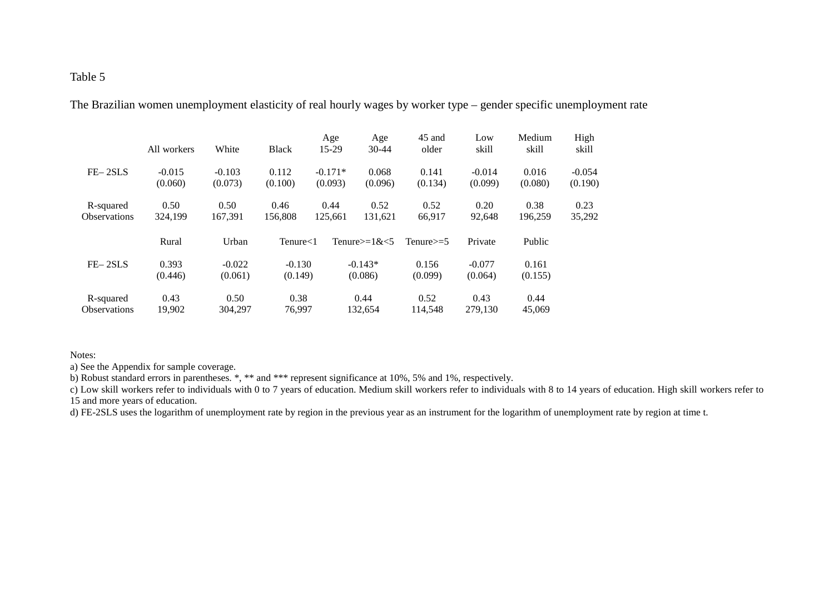The Brazilian women unemployment elasticity of real hourly wages by worker type – gender specific unemployment rate

|                                  | All workers         | White               | <b>Black</b>        | Age<br>15-29         | Age<br>$30-44$            | 45 and<br>older  | Low<br>skill        | Medium<br>skill  | High<br>skill       |
|----------------------------------|---------------------|---------------------|---------------------|----------------------|---------------------------|------------------|---------------------|------------------|---------------------|
| $FE-2SLS$                        | $-0.015$<br>(0.060) | $-0.103$<br>(0.073) | 0.112<br>(0.100)    | $-0.171*$<br>(0.093) | 0.068<br>(0.096)          | 0.141<br>(0.134) | $-0.014$<br>(0.099) | 0.016<br>(0.080) | $-0.054$<br>(0.190) |
| R-squared<br><b>Observations</b> | 0.50<br>324,199     | 0.50<br>167,391     | 0.46<br>156,808     | 0.44<br>125,661      | 0.52<br>131,621           | 0.52<br>66,917   | 0.20<br>92.648      | 0.38<br>196,259  | 0.23<br>35,292      |
|                                  | Rural               | Urban               | $T$ enure $<$ 1     |                      | Tenure $\geq$ =1& $\lt$ 5 | Tenure $\geq 5$  | Private             | Public           |                     |
| $FE-2SLS$                        | 0.393<br>(0.446)    | $-0.022$<br>(0.061) | $-0.130$<br>(0.149) |                      | $-0.143*$<br>(0.086)      | 0.156<br>(0.099) | $-0.077$<br>(0.064) | 0.161<br>(0.155) |                     |
| R-squared<br><b>Observations</b> | 0.43<br>19,902      | 0.50<br>304.297     | 0.38<br>76,997      |                      | 0.44<br>132.654           | 0.52<br>114,548  | 0.43<br>279,130     | 0.44<br>45,069   |                     |

Notes:

a) See the Appendix for sample coverage.

b) Robust standard errors in parentheses. \*, \*\* and \*\*\* represent significance at 10%, 5% and 1%, respectively.

c) Low skill workers refer to individuals with 0 to 7 years of education. Medium skill workers refer to individuals with 8 to 14 years of education. High skill workers refer to 15 and more years of education.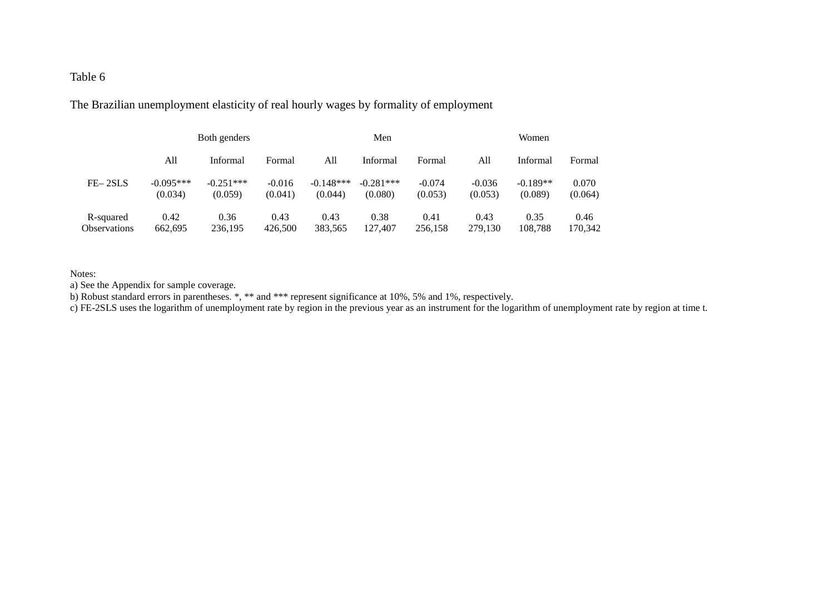The Brazilian unemployment elasticity of real hourly wages by formality of employment

|                     | Both genders |             |          | Men         |             |          | Women    |            |         |  |
|---------------------|--------------|-------------|----------|-------------|-------------|----------|----------|------------|---------|--|
|                     | All          | Informal    | Formal   | All         | Informal    | Formal   | All      | Informal   | Formal  |  |
| $FE-2SLS$           | $-0.095***$  | $-0.251***$ | $-0.016$ | $-0.148***$ | $-0.281***$ | $-0.074$ | $-0.036$ | $-0.189**$ | 0.070   |  |
|                     | (0.034)      | (0.059)     | (0.041)  | (0.044)     | (0.080)     | (0.053)  | (0.053)  | (0.089)    | (0.064) |  |
| R-squared           | 0.42         | 0.36        | 0.43     | 0.43        | 0.38        | 0.41     | 0.43     | 0.35       | 0.46    |  |
| <b>Observations</b> | 662.695      | 236.195     | 426,500  | 383.565     | 127,407     | 256,158  | 279.130  | 108.788    | 170.342 |  |

#### Notes:

a) See the Appendix for sample coverage.

b) Robust standard errors in parentheses. \*, \*\* and \*\*\* represent significance at 10%, 5% and 1%, respectively.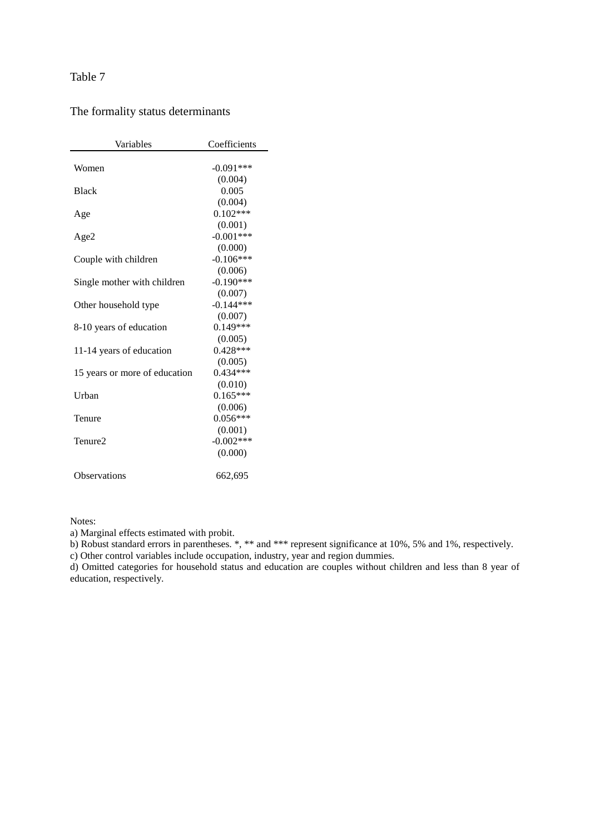| Variables                     | Coefficients |
|-------------------------------|--------------|
|                               |              |
| Women                         | $-0.091***$  |
|                               | (0.004)      |
| <b>Black</b>                  | 0.005        |
|                               | (0.004)      |
| Age                           | $0.102***$   |
|                               | (0.001)      |
| Age2                          | $-0.001***$  |
|                               | (0.000)      |
| Couple with children          | $-0.106***$  |
|                               | (0.006)      |
| Single mother with children   | $-0.190***$  |
|                               | (0.007)      |
| Other household type          | $-0.144***$  |
|                               | (0.007)      |
| 8-10 years of education       | $0.149***$   |
|                               | (0.005)      |
| 11-14 years of education      | $0.428***$   |
|                               | (0.005)      |
| 15 years or more of education | $0.434***$   |
|                               | (0.010)      |
| Urban                         | $0.165***$   |
|                               | (0.006)      |
| Tenure                        | $0.056***$   |
|                               | (0.001)      |
| Tenure2                       | $-0.002***$  |
|                               | (0.000)      |
| Observations                  | 662,695      |
|                               |              |

# The formality status determinants

Notes:

a) Marginal effects estimated with probit.

b) Robust standard errors in parentheses. \*, \*\* and \*\*\* represent significance at 10%, 5% and 1%, respectively.

c) Other control variables include occupation, industry, year and region dummies.

d) Omitted categories for household status and education are couples without children and less than 8 year of education, respectively.